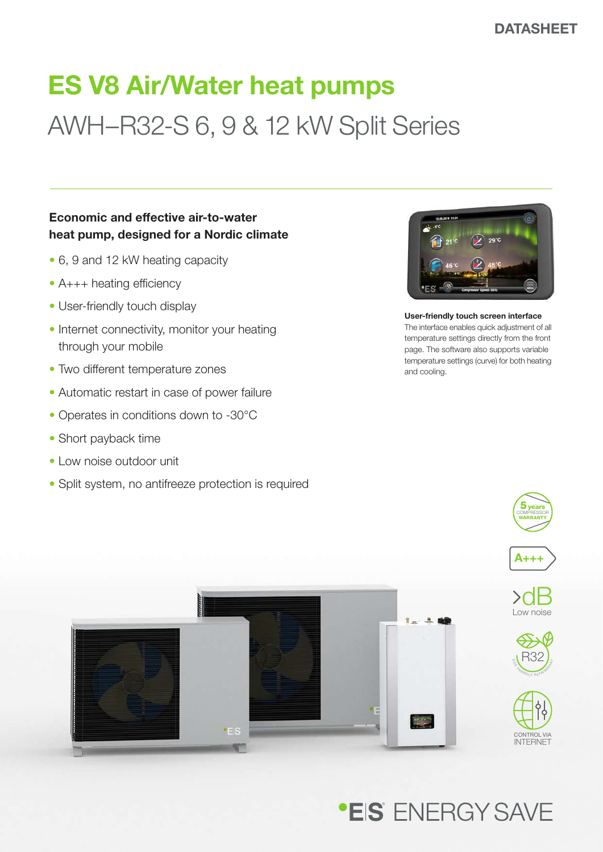# ES V8 Air/Water heat pumps AWH–R32-S 6, 9 & 12 kW Split Series

### Economic and effective air-to-water heat pump, designed for a Nordic climate

- 6, 9 and 12 kW heating capacity
- A+++ heating efficiency
- User-friendly touch display
- Internet connectivity, monitor your heating through your mobile
- Two different temperature zones
- Automatic restart in case of power failure
- Operates in conditions down to -30°C
- Short payback time
- Low noise outdoor unit
- Split system, no antifreeze protection is required



User-friendly touch screen interface The interface enables quick adjustment of all temperature settings directly from the front page. The software also supports variable temperature settings (curve) for both heating and cooling.

 $5$ years WARRANTY



**.EIS** FNFRGY SAVE